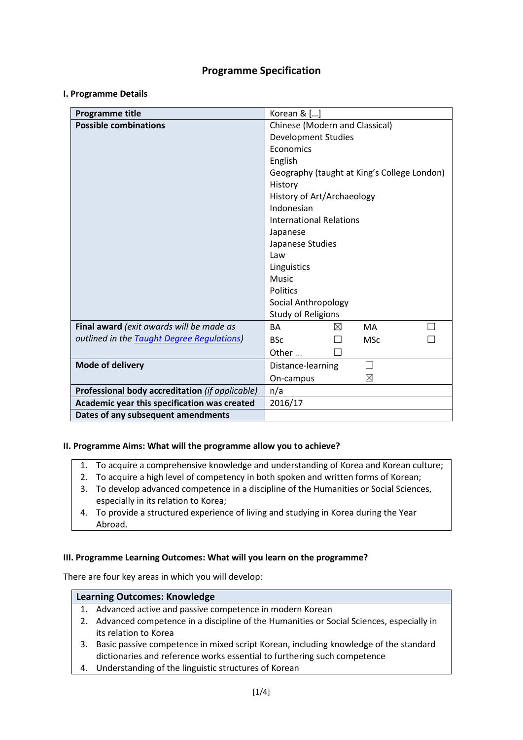# **Programme Specification**

## **I. Programme Details**

| Programme title                                 | Korean $\&$ []                              |  |  |  |
|-------------------------------------------------|---------------------------------------------|--|--|--|
| <b>Possible combinations</b>                    | Chinese (Modern and Classical)              |  |  |  |
|                                                 | <b>Development Studies</b>                  |  |  |  |
|                                                 | Economics                                   |  |  |  |
|                                                 | English                                     |  |  |  |
|                                                 | Geography (taught at King's College London) |  |  |  |
|                                                 | History                                     |  |  |  |
|                                                 | History of Art/Archaeology                  |  |  |  |
|                                                 | Indonesian                                  |  |  |  |
|                                                 | <b>International Relations</b>              |  |  |  |
|                                                 | Japanese                                    |  |  |  |
|                                                 | Japanese Studies                            |  |  |  |
|                                                 | Law                                         |  |  |  |
|                                                 | Linguistics                                 |  |  |  |
|                                                 | <b>Music</b>                                |  |  |  |
|                                                 | <b>Politics</b>                             |  |  |  |
|                                                 | Social Anthropology                         |  |  |  |
|                                                 | <b>Study of Religions</b>                   |  |  |  |
| Final award (exit awards will be made as        | <b>BA</b><br><b>MA</b><br>⊠                 |  |  |  |
| outlined in the Taught Degree Regulations)      | <b>BSc</b><br><b>MSc</b>                    |  |  |  |
|                                                 | Other $\ldots$                              |  |  |  |
| Mode of delivery                                | Distance-learning                           |  |  |  |
|                                                 | $\boxtimes$<br>On-campus                    |  |  |  |
| Professional body accreditation (if applicable) | n/a                                         |  |  |  |
| Academic year this specification was created    | 2016/17                                     |  |  |  |
| Dates of any subsequent amendments              |                                             |  |  |  |

### **II. Programme Aims: What will the programme allow you to achieve?**

- 1. To acquire a comprehensive knowledge and understanding of Korea and Korean culture;
- 2. To acquire a high level of competency in both spoken and written forms of Korean;
- 3. To develop advanced competence in a discipline of the Humanities or Social Sciences, especially in its relation to Korea;
- 4. To provide a structured experience of living and studying in Korea during the Year Abroad.

### **III. Programme Learning Outcomes: What will you learn on the programme?**

There are four key areas in which you will develop:

### **Learning Outcomes: Knowledge**

- 1. Advanced active and passive competence in modern Korean
- 2. Advanced competence in a discipline of the Humanities or Social Sciences, especially in its relation to Korea
- 3. Basic passive competence in mixed script Korean, including knowledge of the standard dictionaries and reference works essential to furthering such competence
- 4. Understanding of the linguistic structures of Korean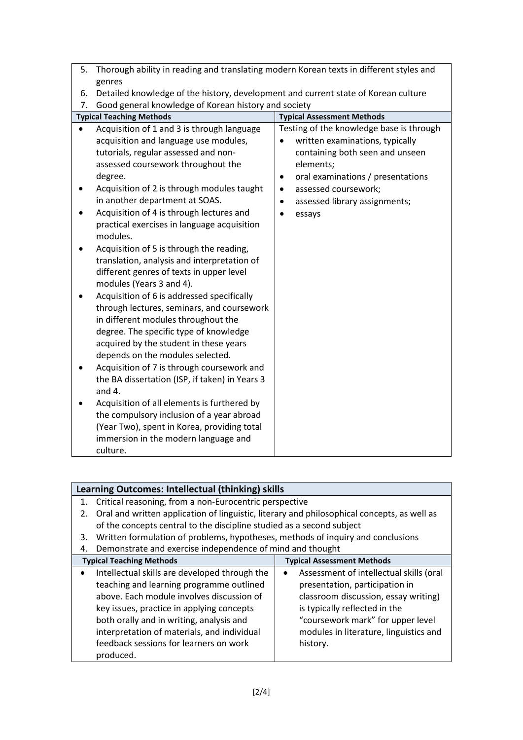| Thorough ability in reading and translating modern Korean texts in different styles and<br>5.                                                                                                                                                                                                                                                                                                                                                                                                                                                                                                                                                                                                                                                                                                                                                                                                                                                                                                                                                                                                                |                                                                                                                                                                                                                                                            |  |  |  |
|--------------------------------------------------------------------------------------------------------------------------------------------------------------------------------------------------------------------------------------------------------------------------------------------------------------------------------------------------------------------------------------------------------------------------------------------------------------------------------------------------------------------------------------------------------------------------------------------------------------------------------------------------------------------------------------------------------------------------------------------------------------------------------------------------------------------------------------------------------------------------------------------------------------------------------------------------------------------------------------------------------------------------------------------------------------------------------------------------------------|------------------------------------------------------------------------------------------------------------------------------------------------------------------------------------------------------------------------------------------------------------|--|--|--|
| genres                                                                                                                                                                                                                                                                                                                                                                                                                                                                                                                                                                                                                                                                                                                                                                                                                                                                                                                                                                                                                                                                                                       |                                                                                                                                                                                                                                                            |  |  |  |
| Detailed knowledge of the history, development and current state of Korean culture<br>6.                                                                                                                                                                                                                                                                                                                                                                                                                                                                                                                                                                                                                                                                                                                                                                                                                                                                                                                                                                                                                     |                                                                                                                                                                                                                                                            |  |  |  |
| Good general knowledge of Korean history and society<br>7.                                                                                                                                                                                                                                                                                                                                                                                                                                                                                                                                                                                                                                                                                                                                                                                                                                                                                                                                                                                                                                                   |                                                                                                                                                                                                                                                            |  |  |  |
| <b>Typical Teaching Methods</b>                                                                                                                                                                                                                                                                                                                                                                                                                                                                                                                                                                                                                                                                                                                                                                                                                                                                                                                                                                                                                                                                              | <b>Typical Assessment Methods</b>                                                                                                                                                                                                                          |  |  |  |
| Acquisition of 1 and 3 is through language<br>acquisition and language use modules,<br>tutorials, regular assessed and non-<br>assessed coursework throughout the<br>degree.<br>Acquisition of 2 is through modules taught<br>in another department at SOAS.<br>Acquisition of 4 is through lectures and<br>practical exercises in language acquisition<br>modules.<br>Acquisition of 5 is through the reading,<br>translation, analysis and interpretation of<br>different genres of texts in upper level<br>modules (Years 3 and 4).<br>Acquisition of 6 is addressed specifically<br>through lectures, seminars, and coursework<br>in different modules throughout the<br>degree. The specific type of knowledge<br>acquired by the student in these years<br>depends on the modules selected.<br>Acquisition of 7 is through coursework and<br>the BA dissertation (ISP, if taken) in Years 3<br>and $4.$<br>Acquisition of all elements is furthered by<br>the compulsory inclusion of a year abroad<br>(Year Two), spent in Korea, providing total<br>immersion in the modern language and<br>culture. | Testing of the knowledge base is through<br>written examinations, typically<br>containing both seen and unseen<br>elements;<br>oral examinations / presentations<br>٠<br>assessed coursework;<br>$\bullet$<br>assessed library assignments;<br>٠<br>essays |  |  |  |

|                                 | Learning Outcomes: Intellectual (thinking) skills                                                                                                                                                                                                                                                                        |                                                                                                                                                                                                                                   |  |  |  |
|---------------------------------|--------------------------------------------------------------------------------------------------------------------------------------------------------------------------------------------------------------------------------------------------------------------------------------------------------------------------|-----------------------------------------------------------------------------------------------------------------------------------------------------------------------------------------------------------------------------------|--|--|--|
| 1.                              | Critical reasoning, from a non-Eurocentric perspective                                                                                                                                                                                                                                                                   |                                                                                                                                                                                                                                   |  |  |  |
| 2.                              | Oral and written application of linguistic, literary and philosophical concepts, as well as                                                                                                                                                                                                                              |                                                                                                                                                                                                                                   |  |  |  |
|                                 | of the concepts central to the discipline studied as a second subject                                                                                                                                                                                                                                                    |                                                                                                                                                                                                                                   |  |  |  |
| 3.                              | Written formulation of problems, hypotheses, methods of inquiry and conclusions                                                                                                                                                                                                                                          |                                                                                                                                                                                                                                   |  |  |  |
| 4.                              | Demonstrate and exercise independence of mind and thought                                                                                                                                                                                                                                                                |                                                                                                                                                                                                                                   |  |  |  |
| <b>Typical Teaching Methods</b> |                                                                                                                                                                                                                                                                                                                          | <b>Typical Assessment Methods</b>                                                                                                                                                                                                 |  |  |  |
|                                 | Intellectual skills are developed through the<br>teaching and learning programme outlined<br>above. Each module involves discussion of<br>key issues, practice in applying concepts<br>both orally and in writing, analysis and<br>interpretation of materials, and individual<br>feedback sessions for learners on work | Assessment of intellectual skills (oral<br>presentation, participation in<br>classroom discussion, essay writing)<br>is typically reflected in the<br>"coursework mark" for upper level<br>modules in literature, linguistics and |  |  |  |
|                                 | produced.                                                                                                                                                                                                                                                                                                                | history.                                                                                                                                                                                                                          |  |  |  |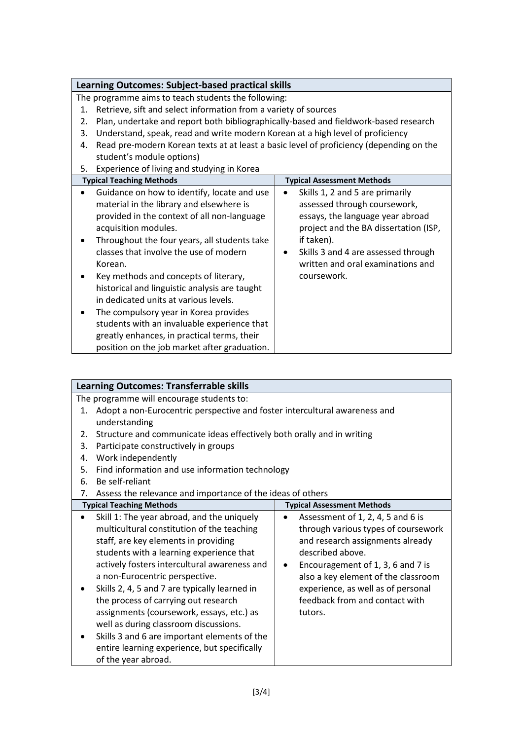| <b>Learning Outcomes: Subject-based practical skills</b>                                                                                                                                                                                                                                                                                                                                                                                                                                                                                                                                      |                                                                                                                                                                                                                                                                    |  |  |  |  |
|-----------------------------------------------------------------------------------------------------------------------------------------------------------------------------------------------------------------------------------------------------------------------------------------------------------------------------------------------------------------------------------------------------------------------------------------------------------------------------------------------------------------------------------------------------------------------------------------------|--------------------------------------------------------------------------------------------------------------------------------------------------------------------------------------------------------------------------------------------------------------------|--|--|--|--|
| The programme aims to teach students the following:                                                                                                                                                                                                                                                                                                                                                                                                                                                                                                                                           |                                                                                                                                                                                                                                                                    |  |  |  |  |
| Retrieve, sift and select information from a variety of sources<br>1.                                                                                                                                                                                                                                                                                                                                                                                                                                                                                                                         |                                                                                                                                                                                                                                                                    |  |  |  |  |
| Plan, undertake and report both bibliographically-based and fieldwork-based research<br>2.                                                                                                                                                                                                                                                                                                                                                                                                                                                                                                    |                                                                                                                                                                                                                                                                    |  |  |  |  |
| Understand, speak, read and write modern Korean at a high level of proficiency<br>3.                                                                                                                                                                                                                                                                                                                                                                                                                                                                                                          |                                                                                                                                                                                                                                                                    |  |  |  |  |
| Read pre-modern Korean texts at at least a basic level of proficiency (depending on the<br>4.                                                                                                                                                                                                                                                                                                                                                                                                                                                                                                 |                                                                                                                                                                                                                                                                    |  |  |  |  |
| student's module options)                                                                                                                                                                                                                                                                                                                                                                                                                                                                                                                                                                     |                                                                                                                                                                                                                                                                    |  |  |  |  |
| Experience of living and studying in Korea<br>5.                                                                                                                                                                                                                                                                                                                                                                                                                                                                                                                                              |                                                                                                                                                                                                                                                                    |  |  |  |  |
| <b>Typical Teaching Methods</b>                                                                                                                                                                                                                                                                                                                                                                                                                                                                                                                                                               | <b>Typical Assessment Methods</b>                                                                                                                                                                                                                                  |  |  |  |  |
| Guidance on how to identify, locate and use<br>material in the library and elsewhere is<br>provided in the context of all non-language<br>acquisition modules.<br>Throughout the four years, all students take<br>classes that involve the use of modern<br>Korean.<br>Key methods and concepts of literary,<br>historical and linguistic analysis are taught<br>in dedicated units at various levels.<br>The compulsory year in Korea provides<br>students with an invaluable experience that<br>greatly enhances, in practical terms, their<br>position on the job market after graduation. | Skills 1, 2 and 5 are primarily<br>$\bullet$<br>assessed through coursework,<br>essays, the language year abroad<br>project and the BA dissertation (ISP,<br>if taken).<br>Skills 3 and 4 are assessed through<br>written and oral examinations and<br>coursework. |  |  |  |  |

| <b>Learning Outcomes: Transferrable skills</b> |                                                                                                                                                                                                                                                                                                                                                                                                                                                                                                                                                                      |                                                                                                                                                                                                                                                                                                              |  |  |  |  |
|------------------------------------------------|----------------------------------------------------------------------------------------------------------------------------------------------------------------------------------------------------------------------------------------------------------------------------------------------------------------------------------------------------------------------------------------------------------------------------------------------------------------------------------------------------------------------------------------------------------------------|--------------------------------------------------------------------------------------------------------------------------------------------------------------------------------------------------------------------------------------------------------------------------------------------------------------|--|--|--|--|
|                                                | The programme will encourage students to:                                                                                                                                                                                                                                                                                                                                                                                                                                                                                                                            |                                                                                                                                                                                                                                                                                                              |  |  |  |  |
| 1.                                             | Adopt a non-Eurocentric perspective and foster intercultural awareness and                                                                                                                                                                                                                                                                                                                                                                                                                                                                                           |                                                                                                                                                                                                                                                                                                              |  |  |  |  |
|                                                | understanding                                                                                                                                                                                                                                                                                                                                                                                                                                                                                                                                                        |                                                                                                                                                                                                                                                                                                              |  |  |  |  |
| 2.                                             | Structure and communicate ideas effectively both orally and in writing                                                                                                                                                                                                                                                                                                                                                                                                                                                                                               |                                                                                                                                                                                                                                                                                                              |  |  |  |  |
| 3.                                             | Participate constructively in groups                                                                                                                                                                                                                                                                                                                                                                                                                                                                                                                                 |                                                                                                                                                                                                                                                                                                              |  |  |  |  |
| 4.                                             | Work independently                                                                                                                                                                                                                                                                                                                                                                                                                                                                                                                                                   |                                                                                                                                                                                                                                                                                                              |  |  |  |  |
| 5.                                             | Find information and use information technology                                                                                                                                                                                                                                                                                                                                                                                                                                                                                                                      |                                                                                                                                                                                                                                                                                                              |  |  |  |  |
| 6.                                             | Be self-reliant                                                                                                                                                                                                                                                                                                                                                                                                                                                                                                                                                      |                                                                                                                                                                                                                                                                                                              |  |  |  |  |
| 7.                                             | Assess the relevance and importance of the ideas of others                                                                                                                                                                                                                                                                                                                                                                                                                                                                                                           |                                                                                                                                                                                                                                                                                                              |  |  |  |  |
|                                                | <b>Typical Teaching Methods</b>                                                                                                                                                                                                                                                                                                                                                                                                                                                                                                                                      | <b>Typical Assessment Methods</b>                                                                                                                                                                                                                                                                            |  |  |  |  |
| $\bullet$                                      | Skill 1: The year abroad, and the uniquely<br>multicultural constitution of the teaching<br>staff, are key elements in providing<br>students with a learning experience that<br>actively fosters intercultural awareness and<br>a non-Eurocentric perspective.<br>Skills 2, 4, 5 and 7 are typically learned in<br>the process of carrying out research<br>assignments (coursework, essays, etc.) as<br>well as during classroom discussions.<br>Skills 3 and 6 are important elements of the<br>entire learning experience, but specifically<br>of the year abroad. | Assessment of 1, 2, 4, 5 and 6 is<br>through various types of coursework<br>and research assignments already<br>described above.<br>Encouragement of 1, 3, 6 and 7 is<br>$\bullet$<br>also a key element of the classroom<br>experience, as well as of personal<br>feedback from and contact with<br>tutors. |  |  |  |  |